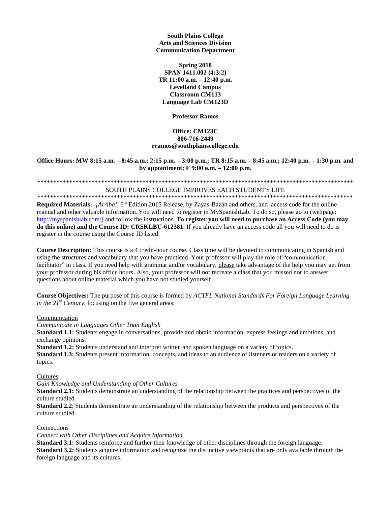#### **South Plains College Arts and Sciences Division Communication Department**

**Spring 2018 SPAN 1411.002 (4:3:2) TR 11:00 a.m. – 12:40 p.m. Levelland Campus Classroom CM113 Language Lab CM123D**

**Professor Ramos**

### **Office: CM123C 806-716-2449 rramos@southplainscollege.edu**

#### **Office Hours: MW 8:15 a.m. – 8:45 a.m.; 2:15 p.m. – 3:00 p.m.; TR 8:15 a.m. – 8:45 a.m.; 12:40 p.m. – 1:30 p.m. and by appointment; F 9:00 a.m. – 12:00 p.m.**

# \*\*\*\*\*\*\*\*\*\*\*\*\*\*\*\*\*\*\*\*\*\*\*\*\*\*\*\*\*\*\*\*\*\*\*\*\*\*\*\*\*\*\*\*\*\*\*\*\*\*\*\*\*\*\*\*\*\*\*\*\*\*\*\*\*\*\*\*\*\*\*\*\*\*\*\*\*\*\*\*\*\*\*\*\*\*\*\*\*\*\*\*\*\*\*\*\*\*\*

#### SOUTH PLAINS COLLEGE IMPROVES EACH STUDENT'S LIFE \*\*\*\*\*\*\*\*\*\*\*\*\*\*\*\*\*\*\*\*\*\*\*\*\*\*\*\*\*\*\*\*\*\*\*\*\*\*\*\*\*\*\*\*\*\*\*\*\*\*\*\*\*\*\*\*\*\*\*\*\*\*\*\*\*\*\*\*\*\*\*\*\*\*\*\*\*\*\*\*\*\*\*\*\*\*\*\*\*\*\*\*\*\*\*\*\*\*\*

Required Materials: *¡Arriba!*, 6<sup>th</sup> Edition 2015 Release, by Zayas-Bazán and others, and access code for the online manual and other valuable information. You will need to register in MySpanishLab. To do so, please go to (webpage: http://myspanishlab.com/) and follow the instructions. **To register you will need to purchase an Access Code (you may do this online) and the Course ID: CRSKLBU-612381**. If you already have an access code all you will need to do is register in the course using the Course ID listed.

**Course Description:** This course is a 4 credit-hour course. Class time will be devoted to communicating in Spanish and using the structures and vocabulary that you have practiced. Your professor will play the role of "communication facilitator" in class. If you need help with grammar and/or vocabulary, please take advantage of the help you may get from your professor during his office hours. Also, your professor will not recreate a class that you missed nor to answer questions about online material which you have not studied yourself.

**Course Objectives:** The purpose of this course is formed by *ACTFL National Standards For Foreign Language Learning in the*  $21^{st}$  *Century*, focusing on the five general areas:

### Communication

*Communicate in Languages Other Than English*

**Standard 1.1:** Students engage in conversations, provide and obtain information, express feelings and emotions, and exchange opinions.

**Standard 1.2:** Students understand and interpret written and spoken language on a variety of topics.

**Standard 1.3:** Students present information, concepts, and ideas to an audience of listeners or readers on a variety of topics.

#### **Cultures**

*Gain Knowledge and Understanding of Other Cultures*

**Standard 2.1:** Students demonstrate an understanding of the relationship between the practices and perspectives of the culture studied.

**Standard 2.2**: Students demonstrate an understanding of the relationship between the products and perspectives of the culture studied.

#### Connections

#### *Connect with Other Disciplines and Acquire Information*

**Standard 3.1:** Students reinforce and further their knowledge of other disciplines through the foreign language. **Standard 3.2:** Students acquire information and recognize the distinctive viewpoints that are only available through the foreign language and its cultures.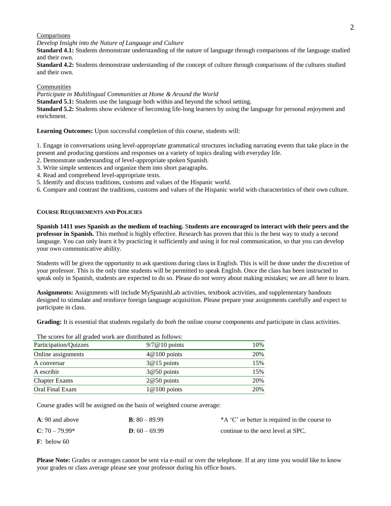#### 2

#### Comparisons

*Develop Insight into the Nature of Language and Culture*

**Standard 4.1:** Students demonstrate understanding of the nature of language through comparisons of the language studied and their own.

**Standard 4.2:** Students demonstrate understanding of the concept of culture through comparisons of the cultures studied and their own.

#### Communities

*Participate in Multilingual Communities at Home & Around the World*

**Standard 5.1:** Students use the language both within and beyond the school setting.

**Standard 5.2:** Students show evidence of becoming life-long learners by using the language for personal enjoyment and enrichment.

**Learning Outcomes:** Upon successful completion of this course, students will:

1. Engage in conversations using level-appropriate grammatical structures including narrating events that take place in the present and producing questions and responses on a variety of topics dealing with everyday life.

- 2. Demonstrate understanding of level-appropriate spoken Spanish.
- 3. Write simple sentences and organize them into short paragraphs.
- 4. Read and comprehend level-appropriate texts.
- 5. Identify and discuss traditions, customs and values of the Hispanic world.

6. Compare and contrast the traditions, customs and values of the Hispanic world with characteristics of their own culture.

#### **COURSE REQUIREMENTS AND POLICIES**

**Spanish 1411 uses Spanish as the medium of teaching.** S**tudents are encouraged to interact with their peers and the professor in Spanish.** This method is highly effective. Research has proven that this is the best way to study a second language. You can only learn it by practicing it sufficiently and using it for real communication, so that you can develop your own communicative ability.

Students will be given the opportunity to ask questions during class in English. This is will be done under the discretion of your professor. This is the only time students will be permitted to speak English. Once the class has been instructed to speak only in Spanish, students are expected to do so. Please do not worry about making mistakes; we are all here to learn.

**Assignments:** Assignments will include MySpanishLab activities, textbook activities, and supplementary handouts designed to stimulate and reinforce foreign language acquisition. Please prepare your assignments carefully and expect to participate in class.

**Grading:** It is essential that students regularly do *both* the online course components *and* participate in class activities.

The scores for all graded work are distributed as follows:

| $9/7@10$ points | 10% |
|-----------------|-----|
| $4@100$ points  | 20% |
| $3@15$ points   | 15% |
| $3@50$ points   | 15% |
| $2@50$ points   | 20% |
| $1@100$ points  | 20% |
|                 |     |

Course grades will be assigned on the basis of weighted course average:

| $A: 90$ and above       | <b>B</b> : $80 - 89.99$ | *A 'C' or better is required in the course to |
|-------------------------|-------------------------|-----------------------------------------------|
| $C: 70 - 79.99*$        | <b>D</b> : $60 - 69.99$ | continue to the next level at SPC.            |
| $\mathbf{F}$ : below 60 |                         |                                               |

**Please Note:** Grades or averages cannot be sent via e-mail or over the telephone. If at any time you would like to know your grades or class average please see your professor during his office hours.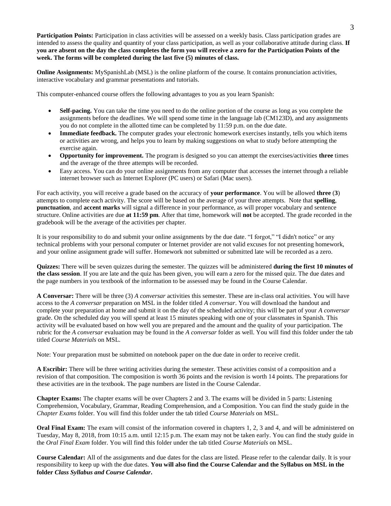**Participation Points:** Participation in class activities will be assessed on a weekly basis. Class participation grades are intended to assess the quality and quantity of your class participation, as well as your collaborative attitude during class. **If you are absent on the day the class completes the form you will receive a zero for the Participation Points of the week. The forms will be completed during the last five (5) minutes of class.**

**Online Assignments:** MySpanishLab (MSL) is the online platform of the course. It contains pronunciation activities, interactive vocabulary and grammar presentations and tutorials.

This computer-enhanced course offers the following advantages to you as you learn Spanish:

- **Self-pacing.** You can take the time you need to do the online portion of the course as long as you complete the assignments before the deadlines. We will spend some time in the language lab (CM123D), and any assignments you do not complete in the allotted time can be completed by 11:59 p.m. on the due date.
- **Immediate feedback.** The computer grades your electronic homework exercises instantly, tells you which items or activities are wrong, and helps you to learn by making suggestions on what to study before attempting the exercise again.
- **Opportunity for improvement.** The program is designed so you can attempt the exercises/activities **three** times and the average of the three attempts will be recorded.
- Easy access. You can do your online assignments from any computer that accesses the internet through a reliable internet browser such as Internet Explorer (PC users) or Safari (Mac users).

For each activity, you will receive a grade based on the accuracy of **your performance**. You will be allowed **three** (**3**) attempts to complete each activity. The score will be based on the average of your three attempts. Note that **spelling**, **punctuation**, and **accent marks** will signal a difference in your performance, as will proper vocabulary and sentence structure. Online activities are due **at 11:59 pm**. After that time, homework will **not** be accepted. The grade recorded in the gradebook will be the average of the activities per chapter.

It is your responsibility to do and submit your online assignments by the due date. "I forgot," "I didn't notice" or any technical problems with your personal computer or Internet provider are not valid excuses for not presenting homework, and your online assignment grade will suffer. Homework not submitted or submitted late will be recorded as a zero.

**Quizzes:** There will be seven quizzes during the semester. The quizzes will be administered **during the first 10 minutes of the class session**. If you are late and the quiz has been given, you will earn a zero for the missed quiz. The due dates and the page numbers in you textbook of the information to be assessed may be found in the Course Calendar.

**A Conversar:** There will be three (3) *A conversar* activities this semester. These are in-class oral activities. You will have access to the *A conversar* preparation on MSL in the folder titled *A conversar*. You will download the handout and complete your preparation at home and submit it on the day of the scheduled activity; this will be part of your *A conversar* grade. On the scheduled day you will spend at least 15 minutes speaking with one of your classmates in Spanish. This activity will be evaluated based on how well you are prepared and the amount and the quality of your participation. The rubric for the *A conversar* evaluation may be found in the *A conversar* folder as well. You will find this folder under the tab titled *Course Materials* on MSL.

Note: Your preparation must be submitted on notebook paper on the due date in order to receive credit.

**A Escribir:** There will be three writing activities during the semester. These activities consist of a composition and a revision of that composition. The composition is worth 36 points and the revision is worth 14 points. The preparations for these activities are in the textbook. The page numbers are listed in the Course Calendar.

**Chapter Exams:** The chapter exams will be over Chapters 2 and 3. The exams will be divided in 5 parts: Listening Comprehension, Vocabulary, Grammar, Reading Comprehension, and a Composition. You can find the study guide in the *Chapter Exams* folder. You will find this folder under the tab titled *Course Materials* on MSL.

**Oral Final Exam:** The exam will consist of the information covered in chapters 1, 2, 3 and 4, and will be administered on Tuesday, May 8, 2018, from 10:15 a.m. until 12:15 p.m. The exam may not be taken early. You can find the study guide in the *Oral Final Exam* folder. You will find this folder under the tab titled *Course Materials* on MSL.

**Course Calendar:** All of the assignments and due dates for the class are listed. Please refer to the calendar daily. It is your responsibility to keep up with the due dates. **You will also find the Course Calendar and the Syllabus on MSL in the folder** *Class Syllabus and Course Calendar***.**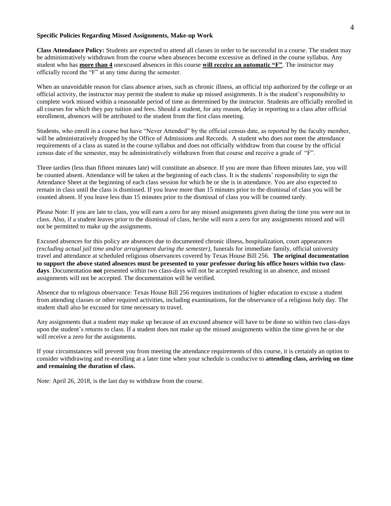#### **Specific Policies Regarding Missed Assignments, Make-up Work**

**Class Attendance Policy:** Students are expected to attend all classes in order to be successful in a course. The student may be administratively withdrawn from the course when absences become excessive as defined in the course syllabus. Any student who has **more than 4** unexcused absences in this course **will receive an automatic "F"**. The instructor may officially record the "F" at any time during the semester.

When an unavoidable reason for class absence arises, such as chronic illness, an official trip authorized by the college or an official activity, the instructor may permit the student to make up missed assignments. It is the student's responsibility to complete work missed within a reasonable period of time as determined by the instructor. Students are officially enrolled in all courses for which they pay tuition and fees. Should a student, for any reason, delay in reporting to a class after official enrollment, absences will be attributed to the student from the first class meeting.

Students, who enroll in a course but have "Never Attended" by the official census date, as reported by the faculty member, will be administratively dropped by the Office of Admissions and Records. A student who does not meet the attendance requirements of a class as stated in the course syllabus and does not officially withdraw from that course by the official census date of the semester, may be administratively withdrawn from that course and receive a grade of "F".

Three tardies (less than fifteen minutes late) will constitute an absence. If you are more than fifteen minutes late, you will be counted absent. Attendance will be taken at the beginning of each class. It is the students' responsibility to sign the Attendance Sheet at the beginning of each class session for which he or she is in attendance. You are also expected to remain in class until the class is dismissed. If you leave more than 15 minutes prior to the dismissal of class you will be counted absent. If you leave less than 15 minutes prior to the dismissal of class you will be counted tardy.

Please Note: If you are late to class, you will earn a zero for any missed assignments given during the time you were not in class. Also, if a student leaves prior to the dismissal of class, he/she will earn a zero for any assignments missed and will not be permitted to make up the assignments.

Excused absences for this policy are absences due to documented chronic illness, hospitalization, court appearances *(excluding actual jail time and/or arraignment during the semester)*, funerals for immediate family, official university travel and attendance at scheduled religious observances covered by Texas House Bill 256. **The original documentation to support the above stated absences must be presented to your professor during his office hours within two classdays**. Documentation **not** presented within two class-days will not be accepted resulting in an absence, and missed assignments will not be accepted. The documentation will be verified.

Absence due to religious observance: Texas House Bill 256 requires institutions of higher education to excuse a student from attending classes or other required activities, including examinations, for the observance of a religious holy day. The student shall also be excused for time necessary to travel.

Any assignments that a student may make up because of an excused absence will have to be done so within two class-days upon the student's returns to class. If a student does not make up the missed assignments within the time given he or she will receive a zero for the assignments.

If your circumstances will prevent you from meeting the attendance requirements of this course, it is certainly an option to consider withdrawing and re-enrolling at a later time when your schedule is conducive to **attending class, arriving on time and remaining the duration of class.**

Note: April 26, 2018, is the last day to withdraw from the course.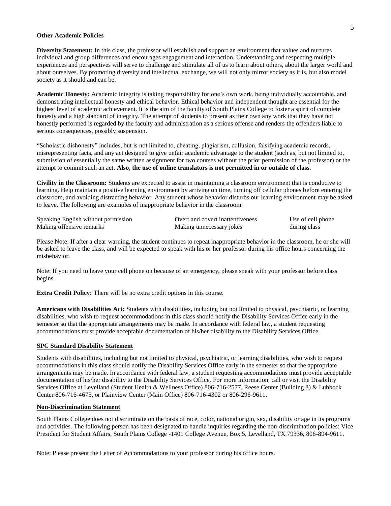#### **Other Academic Policies**

**Diversity Statement:** In this class, the professor will establish and support an environment that values and nurtures individual and group differences and encourages engagement and interaction. Understanding and respecting multiple experiences and perspectives will serve to challenge and stimulate all of us to learn about others, about the larger world and about ourselves. By promoting diversity and intellectual exchange, we will not only mirror society as it is, but also model society as it should and can be.

**Academic Honesty:** Academic integrity is taking responsibility for one's own work, being individually accountable, and demonstrating intellectual honesty and ethical behavior. Ethical behavior and independent thought are essential for the highest level of academic achievement. It is the aim of the faculty of South Plains College to foster a spirit of complete honesty and a high standard of integrity. The attempt of students to present as their own any work that they have not honestly performed is regarded by the faculty and administration as a serious offense and renders the offenders liable to serious consequences, possibly suspension.

"Scholastic dishonesty" includes, but is not limited to, cheating, plagiarism, collusion, falsifying academic records, misrepresenting facts, and any act designed to give unfair academic advantage to the student (such as, but not limited to, submission of essentially the same written assignment for two courses without the prior permission of the professor) or the attempt to commit such an act. **Also, the use of online translators is not permitted in or outside of class.** 

**Civility in the Classroom:** Students are expected to assist in maintaining a classroom environment that is conducive to learning. Help maintain a positive learning environment by arriving on time, turning off cellular phones before entering the classroom, and avoiding distracting behavior. Any student whose behavior disturbs our learning environment may be asked to leave. The following are examples of inappropriate behavior in the classroom:

| Speaking English without permission | Overt and covert inattentiveness | Use of cell phone |
|-------------------------------------|----------------------------------|-------------------|
| Making offensive remarks            | Making unnecessary jokes         | during class      |

Please Note: If after a clear warning, the student continues to repeat inappropriate behavior in the classroom, he or she will be asked to leave the class, and will be expected to speak with his or her professor during his office hours concerning the misbehavior.

Note: If you need to leave your cell phone on because of an emergency, please speak with your professor before class begins.

**Extra Credit Policy:** There will be no extra credit options in this course.

**Americans with Disabilities Act:** Students with disabilities, including but not limited to physical, psychiatric, or learning disabilities, who wish to request accommodations in this class should notify the Disability Services Office early in the semester so that the appropriate arrangements may be made. In accordance with federal law, a student requesting accommodations must provide acceptable documentation of his/her disability to the Disability Services Office.

#### **SPC Standard Disability Statement**

Students with disabilities, including but not limited to physical, psychiatric, or learning disabilities, who wish to request accommodations in this class should notify the Disability Services Office early in the semester so that the appropriate arrangements may be made. In accordance with federal law, a student requesting accommodations must provide acceptable documentation of his/her disability to the Disability Services Office. For more information, call or visit the Disability Services Office at Levelland (Student Health & Wellness Office) 806-716-2577, Reese Center (Building 8) & Lubbock Center 806-716-4675, or Plainview Center (Main Office) 806-716-4302 or 806-296-9611.

#### **Non-Discrimination Statement**

South Plains College does not discriminate on the basis of race, color, national origin, sex, disability or age in its programs and activities. The following person has been designated to handle inquiries regarding the non-discrimination policies: Vice President for Student Affairs, South Plains College -1401 College Avenue, Box 5, Levelland, TX 79336, 806-894-9611.

Note: Please present the Letter of Accommodations to your professor during his office hours.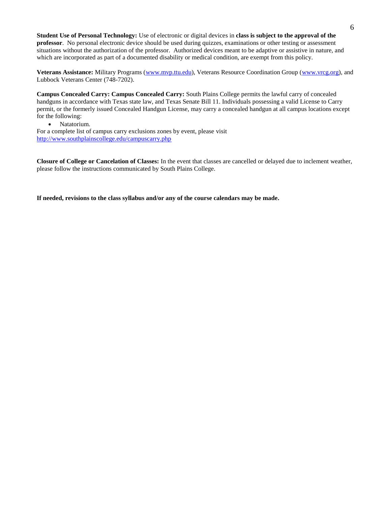**Student Use of Personal Technology:** Use of electronic or digital devices in **class is subject to the approval of the professor**. No personal electronic device should be used during quizzes, examinations or other testing or assessment situations without the authorization of the professor. Authorized devices meant to be adaptive or assistive in nature, and which are incorporated as part of a documented disability or medical condition, are exempt from this policy.

**Veterans Assistance:** Military Programs [\(www.mvp.ttu.edu\)](http://www.mvp.ttu.edu/), Veterans Resource Coordination Group [\(www.vrcg.org\)](http://www.vrcg.org/), and Lubbock Veterans Center (748-7202).

**Campus Concealed Carry: Campus Concealed Carry:** South Plains College permits the lawful carry of concealed handguns in accordance with Texas state law, and Texas Senate Bill 11. Individuals possessing a valid License to Carry permit, or the formerly issued Concealed Handgun License, may carry a concealed handgun at all campus locations except for the following:

• Natatorium.

For a complete list of campus carry exclusions zones by event, please visit <http://www.southplainscollege.edu/campuscarry.php>

**Closure of College or Cancelation of Classes:** In the event that classes are cancelled or delayed due to inclement weather, please follow the instructions communicated by South Plains College.

**If needed, revisions to the class syllabus and/or any of the course calendars may be made.**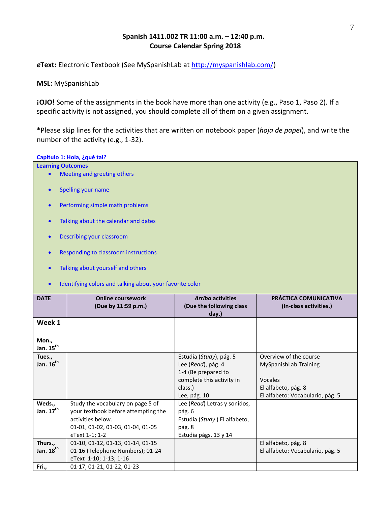## **Spanish 1411.002 TR 11:00 a.m. – 12:40 p.m. Course Calendar Spring 2018**

*e***Text:** Electronic Textbook (See MySpanishLab at [http://myspanishlab.com/\)](http://myspanishlab.com/)

**MSL:** MySpanishLab

**¡OJO!** Some of the assignments in the book have more than one activity (e.g., Paso 1, Paso 2). If a specific activity is not assigned, you should complete all of them on a given assignment.

**\***Please skip lines for the activities that are written on notebook paper (*hoja de papel*), and write the number of the activity (e.g., 1-32).

### **Capítulo 1: Hola, ¿qué tal?**

| <b>Learning Outcomes</b>        |                                                                          |                                                               |                                                 |
|---------------------------------|--------------------------------------------------------------------------|---------------------------------------------------------------|-------------------------------------------------|
|                                 | Meeting and greeting others                                              |                                                               |                                                 |
| $\bullet$                       | Spelling your name                                                       |                                                               |                                                 |
| $\bullet$                       | Performing simple math problems                                          |                                                               |                                                 |
| $\bullet$                       | Talking about the calendar and dates                                     |                                                               |                                                 |
| $\bullet$                       | Describing your classroom                                                |                                                               |                                                 |
| $\bullet$                       | Responding to classroom instructions                                     |                                                               |                                                 |
| $\bullet$                       | Talking about yourself and others                                        |                                                               |                                                 |
| $\bullet$                       | Identifying colors and talking about your favorite color                 |                                                               |                                                 |
| <b>DATE</b>                     | <b>Online coursework</b><br>(Due by 11:59 p.m.)                          | <b>Arriba activities</b><br>(Due the following class<br>day.) | PRÁCTICA COMUNICATIVA<br>(In-class activities.) |
| Week 1                          |                                                                          |                                                               |                                                 |
|                                 |                                                                          |                                                               |                                                 |
| Mon.,                           |                                                                          |                                                               |                                                 |
| Jan. 15 <sup>th</sup><br>Tues., |                                                                          | Estudia (Study), pág. 5                                       | Overview of the course                          |
| Jan. 16 <sup>th</sup>           |                                                                          | Lee (Read), pág. 4                                            | MySpanishLab Training                           |
|                                 |                                                                          | 1-4 (Be prepared to                                           |                                                 |
|                                 |                                                                          | complete this activity in                                     | Vocales                                         |
|                                 |                                                                          | class.)                                                       | El alfabeto, pág. 8                             |
|                                 |                                                                          | Lee, pág. 10                                                  | El alfabeto: Vocabulario, pág. 5                |
| Weds.,<br>Jan. 17 <sup>th</sup> | Study the vocabulary on page 5 of<br>your textbook before attempting the | Lee (Read) Letras y sonidos,                                  |                                                 |
|                                 | activities below.                                                        | pág. 6<br>Estudia (Study) El alfabeto,                        |                                                 |
|                                 | 01-01, 01-02, 01-03, 01-04, 01-05                                        | pág. 8                                                        |                                                 |
|                                 | eText 1-1; 1-2                                                           | Estudia págs. 13 y 14                                         |                                                 |
| Thurs.,                         | 01-10, 01-12, 01-13; 01-14, 01-15                                        |                                                               | El alfabeto, pág. 8                             |
| Jan. 18 <sup>th</sup>           | 01-16 (Telephone Numbers); 01-24                                         |                                                               | El alfabeto: Vocabulario, pág. 5                |
|                                 | eText 1-10; 1-13; 1-16                                                   |                                                               |                                                 |
| Fri.,                           | 01-17, 01-21, 01-22, 01-23                                               |                                                               |                                                 |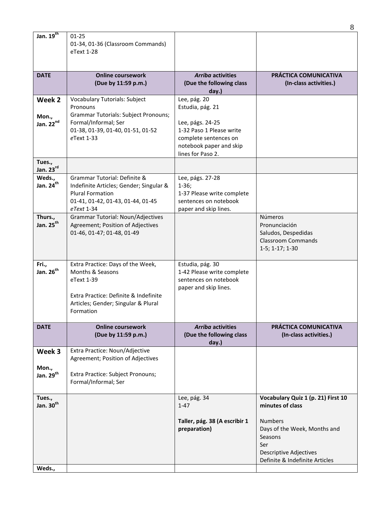|                                          |                                                                                                                                                                  |                                                                                                                                                           | 8                                                                                                                                   |
|------------------------------------------|------------------------------------------------------------------------------------------------------------------------------------------------------------------|-----------------------------------------------------------------------------------------------------------------------------------------------------------|-------------------------------------------------------------------------------------------------------------------------------------|
| Jan. $19^{th}$                           | $01 - 25$<br>01-34, 01-36 (Classroom Commands)<br>eText 1-28                                                                                                     |                                                                                                                                                           |                                                                                                                                     |
| <b>DATE</b>                              | <b>Online coursework</b>                                                                                                                                         | <b>Arriba activities</b>                                                                                                                                  | <b>PRÁCTICA COMUNICATIVA</b>                                                                                                        |
|                                          | (Due by 11:59 p.m.)                                                                                                                                              | (Due the following class<br>day.)                                                                                                                         | (In-class activities.)                                                                                                              |
| Week 2<br>Mon.,<br>Jan. 22nd             | Vocabulary Tutorials: Subject<br>Pronouns<br>Grammar Tutorials: Subject Pronouns;<br>Formal/Informal; Ser<br>01-38, 01-39, 01-40, 01-51, 01-52<br>eText 1-33     | Lee, pág. 20<br>Estudia, pág. 21<br>Lee, págs. 24-25<br>1-32 Paso 1 Please write<br>complete sentences on<br>notebook paper and skip<br>lines for Paso 2. |                                                                                                                                     |
| Tues.,<br>Jan. $23^{\text{rd}}$          |                                                                                                                                                                  |                                                                                                                                                           |                                                                                                                                     |
| Weds.,<br>Jan. 24 <sup>th</sup>          | Grammar Tutorial: Definite &<br>Indefinite Articles; Gender; Singular &<br><b>Plural Formation</b><br>01-41, 01-42, 01-43, 01-44, 01-45<br>eText 1-34            | Lee, págs. 27-28<br>$1-36;$<br>1-37 Please write complete<br>sentences on notebook<br>paper and skip lines.                                               |                                                                                                                                     |
| Thurs.,<br>Jan. 25 <sup>th</sup>         | Grammar Tutorial: Noun/Adjectives<br>Agreement; Position of Adjectives<br>01-46, 01-47; 01-48, 01-49                                                             |                                                                                                                                                           | Números<br>Pronunciación<br>Saludos, Despedidas<br><b>Classroom Commands</b><br>$1-5; 1-17; 1-30$                                   |
| Fri.,<br>Jan. 26 <sup>th</sup>           | Extra Practice: Days of the Week,<br>Months & Seasons<br>eText 1-39<br>Extra Practice: Definite & Indefinite<br>Articles; Gender; Singular & Plural<br>Formation | Estudia, pág. 30<br>1-42 Please write complete<br>sentences on notebook<br>paper and skip lines.                                                          |                                                                                                                                     |
| <b>DATE</b>                              | <b>Online coursework</b><br>(Due by 11:59 p.m.)                                                                                                                  | <b>Arriba activities</b><br>(Due the following class<br>day.)                                                                                             | PRÁCTICA COMUNICATIVA<br>(In-class activities.)                                                                                     |
| Week 3<br>Mon.,<br>Jan. 29 <sup>th</sup> | Extra Practice: Noun/Adjective<br>Agreement; Position of Adjectives<br>Extra Practice: Subject Pronouns;<br>Formal/Informal; Ser                                 |                                                                                                                                                           |                                                                                                                                     |
| Tues.,<br>Jan. 30 <sup>th</sup>          |                                                                                                                                                                  | Lee, pág. 34<br>$1 - 47$                                                                                                                                  | Vocabulary Quiz 1 (p. 21) First 10<br>minutes of class                                                                              |
|                                          |                                                                                                                                                                  | Taller, pág. 38 (A escribir 1<br>preparation)                                                                                                             | <b>Numbers</b><br>Days of the Week, Months and<br>Seasons<br>Ser<br><b>Descriptive Adjectives</b><br>Definite & Indefinite Articles |
| Weds.,                                   |                                                                                                                                                                  |                                                                                                                                                           |                                                                                                                                     |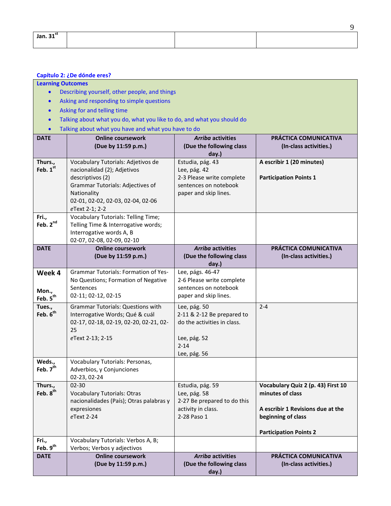| Jan. $31st$ |  |  |
|-------------|--|--|
|             |  |  |

# **Capítulo 2: ¿De dónde eres?**

### **Learning Outcomes**

- Describing yourself, other people, and things
- Asking and responding to simple questions
- Asking for and telling time
- Talking about what you do, what you like to do, and what you should do
- Talking about what you have and what you have to do

|                                         | Talking about what you have and what you have to do                                                                                                                                             |                                                                                                                       |                                                                                                                                                    |
|-----------------------------------------|-------------------------------------------------------------------------------------------------------------------------------------------------------------------------------------------------|-----------------------------------------------------------------------------------------------------------------------|----------------------------------------------------------------------------------------------------------------------------------------------------|
| <b>DATE</b>                             | <b>Online coursework</b><br>(Due by 11:59 p.m.)                                                                                                                                                 | <b>Arriba activities</b><br>(Due the following class<br>day.)                                                         | PRÁCTICA COMUNICATIVA<br>(In-class activities.)                                                                                                    |
| Thurs.,<br>Feb. 1st                     | Vocabulary Tutorials: Adjetivos de<br>nacionalidad (2); Adjetivos<br>descriptivos (2)<br>Grammar Tutorials: Adjectives of<br>Nationality<br>02-01, 02-02, 02-03, 02-04, 02-06<br>eText 2-1; 2-2 | Estudia, pág. 43<br>Lee, pág. 42<br>2-3 Please write complete<br>sentences on notebook<br>paper and skip lines.       | A escribir 1 (20 minutes)<br><b>Participation Points 1</b>                                                                                         |
| Fri.,<br>Feb. 2nd                       | <b>Vocabulary Tutorials: Telling Time;</b><br>Telling Time & Interrogative words;<br>Interrogative words A, B<br>02-07, 02-08, 02-09, 02-10                                                     |                                                                                                                       |                                                                                                                                                    |
| <b>DATE</b>                             | <b>Online coursework</b><br>(Due by 11:59 p.m.)                                                                                                                                                 | <b>Arriba activities</b><br>(Due the following class<br>day.)                                                         | PRÁCTICA COMUNICATIVA<br>(In-class activities.)                                                                                                    |
| Week 4<br>Mon.,<br>Feb. 5 <sup>th</sup> | <b>Grammar Tutorials: Formation of Yes-</b><br>No Questions; Formation of Negative<br>Sentences<br>02-11; 02-12, 02-15                                                                          | Lee, págs. 46-47<br>2-6 Please write complete<br>sentences on notebook<br>paper and skip lines.                       |                                                                                                                                                    |
| Tues.,<br>Feb. 6 <sup>th</sup>          | <b>Grammar Tutorials: Questions with</b><br>Interrogative Words; Qué & cuál<br>02-17, 02-18, 02-19, 02-20, 02-21, 02-<br>25<br>eText 2-13; 2-15                                                 | Lee, pág. 50<br>2-11 & 2-12 Be prepared to<br>do the activities in class.<br>Lee, pág. 52<br>$2 - 14$<br>Lee, pág. 56 | $2 - 4$                                                                                                                                            |
| Weds.,<br>Feb. 7 <sup>th</sup>          | Vocabulary Tutorials: Personas,<br>Adverbios, y Conjunciones<br>02-23, 02-24                                                                                                                    |                                                                                                                       |                                                                                                                                                    |
| Thurs.,<br>Feb. 8 <sup>th</sup>         | $02 - 30$<br><b>Vocabulary Tutorials: Otras</b><br>nacionalidades (País); Otras palabras y<br>expresiones<br>eText 2-24                                                                         | Estudia, pág. 59<br>Lee, pág. 58<br>2-27 Be prepared to do this<br>activity in class.<br>2-28 Paso 1                  | Vocabulary Quiz 2 (p. 43) First 10<br>minutes of class<br>A escribir 1 Revisions due at the<br>beginning of class<br><b>Participation Points 2</b> |
| Fri.,<br>Feb. 9 <sup>th</sup>           | Vocabulary Tutorials: Verbos A, B;<br>Verbos; Verbos y adjectivos                                                                                                                               |                                                                                                                       |                                                                                                                                                    |
| <b>DATE</b>                             | <b>Online coursework</b><br>(Due by 11:59 p.m.)                                                                                                                                                 | <b>Arriba activities</b><br>(Due the following class<br>day.)                                                         | PRÁCTICA COMUNICATIVA<br>(In-class activities.)                                                                                                    |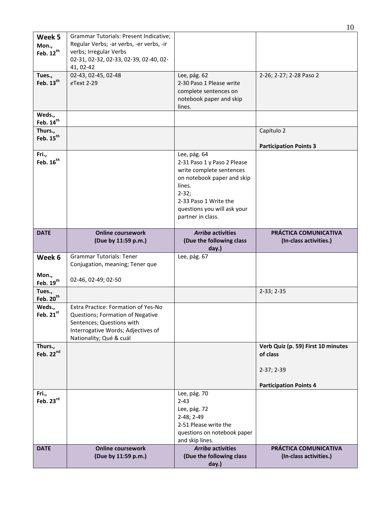|                                          |                                                                                                                                                                       |                                                                                                                                                                                                           | 10                                                                                            |
|------------------------------------------|-----------------------------------------------------------------------------------------------------------------------------------------------------------------------|-----------------------------------------------------------------------------------------------------------------------------------------------------------------------------------------------------------|-----------------------------------------------------------------------------------------------|
| Week 5<br>Mon.,<br>Feb. 12 <sup>th</sup> | Grammar Tutorials: Present Indicative;<br>Regular Verbs; -ar verbs, -er verbs, -ir<br>verbs; Irregular Verbs<br>02-31, 02-32, 02-33, 02-39, 02-40, 02-<br>41, 02-42   |                                                                                                                                                                                                           |                                                                                               |
| Tues.,<br>Feb. 13 <sup>th</sup>          | 02-43, 02-45, 02-48<br>eText 2-29                                                                                                                                     | Lee, pág. 62<br>2-30 Paso 1 Please write<br>complete sentences on<br>notebook paper and skip<br>lines.                                                                                                    | 2-26; 2-27; 2-28 Paso 2                                                                       |
| Weds.,<br>Feb. 14 <sup>th</sup>          |                                                                                                                                                                       |                                                                                                                                                                                                           |                                                                                               |
| Thurs.,<br>Feb. 15 <sup>th</sup>         |                                                                                                                                                                       |                                                                                                                                                                                                           | Capítulo 2<br><b>Participation Points 3</b>                                                   |
| Fri.,<br>Feb. $16^{th}$                  |                                                                                                                                                                       | Lee, pág. 64<br>2-31 Paso 1 y Paso 2 Please<br>write complete sentences<br>on notebook paper and skip<br>lines.<br>$2 - 32;$<br>2-33 Paso 1 Write the<br>questions you will ask your<br>partner in class. |                                                                                               |
| <b>DATE</b>                              | <b>Online coursework</b><br>(Due by 11:59 p.m.)                                                                                                                       | <b>Arriba activities</b><br>(Due the following class<br>day.)                                                                                                                                             | PRÁCTICA COMUNICATIVA<br>(In-class activities.)                                               |
| Week 6<br>Mon.,                          | <b>Grammar Tutorials: Tener</b><br>Conjugation, meaning; Tener que                                                                                                    | Lee, pág. 67                                                                                                                                                                                              |                                                                                               |
| Feb. 19 <sup>th</sup><br>Tues.,          | 02-46, 02-49; 02-50                                                                                                                                                   |                                                                                                                                                                                                           | $2-33; 2-35$                                                                                  |
| Feb. 20 <sup>th</sup>                    |                                                                                                                                                                       |                                                                                                                                                                                                           |                                                                                               |
| Weds.,<br>Feb. $21^{st}$                 | Extra Practice: Formation of Yes-No<br>Questions; Formation of Negative<br>Sentences; Questions with<br>Interrogative Words; Adjectives of<br>Nationality; Qué & cuál |                                                                                                                                                                                                           |                                                                                               |
| Thurs.,<br>Feb. 22nd                     |                                                                                                                                                                       |                                                                                                                                                                                                           | Verb Quiz (p. 59) First 10 minutes<br>of class<br>2-37; 2-39<br><b>Participation Points 4</b> |
| Fri.,<br>Feb. 23rd                       |                                                                                                                                                                       | Lee, pág. 70<br>$2 - 43$<br>Lee, pág. 72<br>2-48; 2-49<br>2-51 Please write the<br>questions on notebook paper<br>and skip lines.                                                                         |                                                                                               |
| <b>DATE</b>                              | <b>Online coursework</b><br>(Due by 11:59 p.m.)                                                                                                                       | <b>Arriba activities</b><br>(Due the following class<br>day.)                                                                                                                                             | PRÁCTICA COMUNICATIVA<br>(In-class activities.)                                               |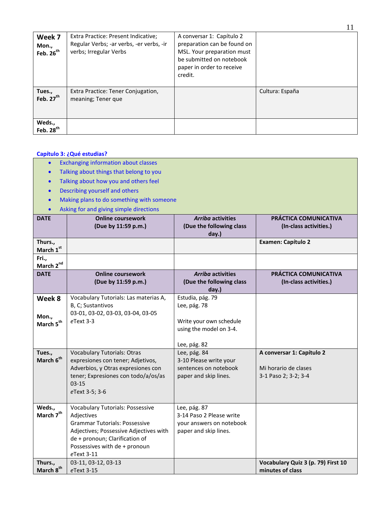| Week 7<br>Mon.,<br>Feb. $26^{th}$ | Extra Practice: Present Indicative;<br>Regular Verbs; -ar verbs, -er verbs, -ir<br>verbs; Irregular Verbs | A conversar 1: Capítulo 2<br>preparation can be found on<br>MSL. Your preparation must<br>be submitted on notebook<br>paper in order to receive<br>credit. |                 |
|-----------------------------------|-----------------------------------------------------------------------------------------------------------|------------------------------------------------------------------------------------------------------------------------------------------------------------|-----------------|
| Tues.,<br>Feb. $27th$             | Extra Practice: Tener Conjugation,<br>meaning; Tener que                                                  |                                                                                                                                                            | Cultura: España |
| Weds.,<br>Feb. $28th$             |                                                                                                           |                                                                                                                                                            |                 |

### **Capítulo 3: ¿Qué estudias?**

- **•** Exchanging information about classes
- Talking about things that belong to you
- Talking about how you and others feel
- Describing yourself and others
- Making plans to do something with someone
- Asking for and giving simple directions

|                                | Asking for and giving simple directions |                          |                                    |
|--------------------------------|-----------------------------------------|--------------------------|------------------------------------|
| <b>DATE</b>                    | <b>Online coursework</b>                | <b>Arriba activities</b> | PRÁCTICA COMUNICATIVA              |
|                                | (Due by 11:59 p.m.)                     | (Due the following class | (In-class activities.)             |
|                                |                                         | day.)                    |                                    |
| Thurs.,                        |                                         |                          | <b>Examen: Capítulo 2</b>          |
| March 1st                      |                                         |                          |                                    |
| Fri.,                          |                                         |                          |                                    |
| March 2nd                      |                                         |                          |                                    |
| <b>DATE</b>                    | <b>Online coursework</b>                | <b>Arriba activities</b> | PRÁCTICA COMUNICATIVA              |
|                                | (Due by 11:59 p.m.)                     | (Due the following class | (In-class activities.)             |
|                                |                                         | day.)                    |                                    |
| Week 8                         | Vocabulary Tutorials: Las materias A,   | Estudia, pág. 79         |                                    |
|                                | B, C; Sustantivos                       | Lee, pág. 78             |                                    |
|                                | 03-01, 03-02, 03-03, 03-04, 03-05       |                          |                                    |
| Mon.,<br>March 5 <sup>th</sup> | eText 3-3                               | Write your own schedule  |                                    |
|                                |                                         | using the model on 3-4.  |                                    |
|                                |                                         |                          |                                    |
|                                |                                         | Lee, pág. 82             |                                    |
| Tues.,                         | <b>Vocabulary Tutorials: Otras</b>      | Lee, pág. 84             | A conversar 1: Capítulo 2          |
| March 6 <sup>th</sup>          | expresiones con tener; Adjetivos,       | 3-10 Please write your   |                                    |
|                                | Adverbios, y Otras expresiones con      | sentences on notebook    | Mi horario de clases               |
|                                | tener; Expresiones con todo/a/os/as     | paper and skip lines.    | 3-1 Paso 2; 3-2; 3-4               |
|                                | $03 - 15$                               |                          |                                    |
|                                | eText 3-5; 3-6                          |                          |                                    |
|                                |                                         |                          |                                    |
| Weds.,                         | <b>Vocabulary Tutorials: Possessive</b> | Lee, pág. 87             |                                    |
| March 7 <sup>th</sup>          | Adjectives                              | 3-14 Paso 2 Please write |                                    |
|                                | <b>Grammar Tutorials: Possessive</b>    | your answers on notebook |                                    |
|                                | Adjectives; Possessive Adjectives with  | paper and skip lines.    |                                    |
|                                | de + pronoun; Clarification of          |                          |                                    |
|                                | Possessives with de + pronoun           |                          |                                    |
|                                | eText 3-11                              |                          |                                    |
| Thurs.,                        | 03-11, 03-12, 03-13                     |                          | Vocabulary Quiz 3 (p. 79) First 10 |
| March 8 <sup>th</sup>          | eText 3-15                              |                          | minutes of class                   |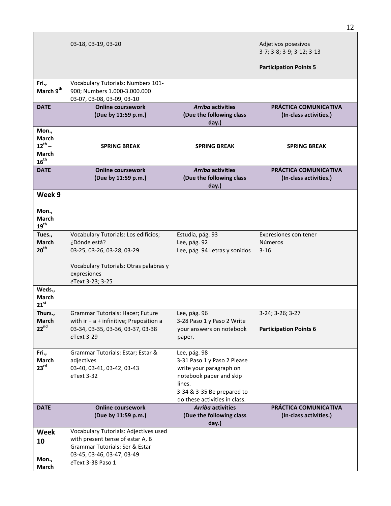|                                                            | 03-18, 03-19, 03-20                                                                                                                                             |                                                                                                                                                                            | Adjetivos posesivos<br>3-7; 3-8; 3-9; 3-12; 3-13<br><b>Participation Points 5</b> |
|------------------------------------------------------------|-----------------------------------------------------------------------------------------------------------------------------------------------------------------|----------------------------------------------------------------------------------------------------------------------------------------------------------------------------|-----------------------------------------------------------------------------------|
| Fri.,<br>March 9 <sup>th</sup>                             | Vocabulary Tutorials: Numbers 101-<br>900; Numbers 1.000-3.000.000<br>03-07, 03-08, 03-09, 03-10                                                                |                                                                                                                                                                            |                                                                                   |
| <b>DATE</b>                                                | <b>Online coursework</b><br>(Due by 11:59 p.m.)                                                                                                                 | <b>Arriba activities</b><br>(Due the following class<br>day.)                                                                                                              | PRÁCTICA COMUNICATIVA<br>(In-class activities.)                                   |
| Mon.,<br>March<br>$12^{th} -$<br><b>March</b><br>$16^{th}$ | <b>SPRING BREAK</b>                                                                                                                                             | <b>SPRING BREAK</b>                                                                                                                                                        | <b>SPRING BREAK</b>                                                               |
| <b>DATE</b>                                                | <b>Online coursework</b><br>(Due by 11:59 p.m.)                                                                                                                 | <b>Arriba activities</b><br>(Due the following class<br>day.)                                                                                                              | PRÁCTICA COMUNICATIVA<br>(In-class activities.)                                   |
| Week 9<br>Mon.,<br>March<br>$19^{\text{th}}$               |                                                                                                                                                                 |                                                                                                                                                                            |                                                                                   |
| Tues.,<br><b>March</b><br>20 <sup>th</sup>                 | Vocabulary Tutorials: Los edificios;<br>¿Dónde está?<br>03-25, 03-26, 03-28, 03-29<br>Vocabulary Tutorials: Otras palabras y<br>expresiones<br>eText 3-23; 3-25 | Estudia, pág. 93<br>Lee, pág. 92<br>Lee, pág. 94 Letras y sonidos                                                                                                          | Expresiones con tener<br><b>Números</b><br>$3 - 16$                               |
| Weds.,<br>March<br>$21^{st}$                               |                                                                                                                                                                 |                                                                                                                                                                            |                                                                                   |
| Thurs.,<br>March<br>$22^{nd}$                              | Grammar Tutorials: Hacer; Future<br>with $ir + a +$ infinitive; Preposition a<br>03-34, 03-35, 03-36, 03-37, 03-38<br>eText 3-29                                | Lee, pág. 96<br>3-28 Paso 1 y Paso 2 Write<br>your answers on notebook<br>paper.                                                                                           | 3-24; 3-26; 3-27<br><b>Participation Points 6</b>                                 |
| Fri.,<br>March<br>23 <sup>rd</sup>                         | Grammar Tutorials: Estar; Estar &<br>adjectives<br>03-40, 03-41, 03-42, 03-43<br>eText 3-32                                                                     | Lee, pág. 98<br>3-31 Paso 1 y Paso 2 Please<br>write your paragraph on<br>notebook paper and skip<br>lines.<br>3-34 & 3-35 Be prepared to<br>do these activities in class. |                                                                                   |
| <b>DATE</b>                                                | <b>Online coursework</b><br>(Due by 11:59 p.m.)                                                                                                                 | <b>Arriba activities</b><br>(Due the following class<br>day.)                                                                                                              | PRÁCTICA COMUNICATIVA<br>(In-class activities.)                                   |
| <b>Week</b><br>10<br>Mon.,<br>March                        | Vocabulary Tutorials: Adjectives used<br>with present tense of estar A, B<br>Grammar Tutorials: Ser & Estar<br>03-45, 03-46, 03-47, 03-49<br>eText 3-38 Paso 1  |                                                                                                                                                                            |                                                                                   |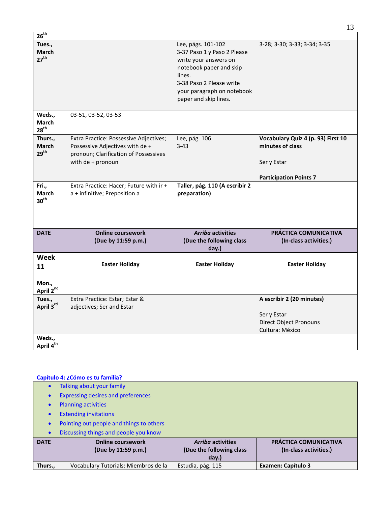| $26^{th}$                                           |                                                                                                                                         |                                                                                                                                                                                                    |                                                                                                        |
|-----------------------------------------------------|-----------------------------------------------------------------------------------------------------------------------------------------|----------------------------------------------------------------------------------------------------------------------------------------------------------------------------------------------------|--------------------------------------------------------------------------------------------------------|
| Tues.,<br><b>March</b><br>$27^{\text{th}}$          |                                                                                                                                         | Lee, págs. 101-102<br>3-37 Paso 1 y Paso 2 Please<br>write your answers on<br>notebook paper and skip<br>lines.<br>3-38 Paso 2 Please write<br>your paragraph on notebook<br>paper and skip lines. | 3-28; 3-30; 3-33; 3-34; 3-35                                                                           |
| Weds.,<br><b>March</b><br>28 <sup>th</sup>          | 03-51, 03-52, 03-53                                                                                                                     |                                                                                                                                                                                                    |                                                                                                        |
| Thurs.,<br><b>March</b><br>29 <sup>th</sup>         | Extra Practice: Possessive Adjectives;<br>Possessive Adjectives with de +<br>pronoun; Clarification of Possessives<br>with de + pronoun | Lee, pág. 106<br>$3 - 43$                                                                                                                                                                          | Vocabulary Quiz 4 (p. 93) First 10<br>minutes of class<br>Ser y Estar<br><b>Participation Points 7</b> |
| Fri.,<br>March<br>30 <sup>th</sup>                  | Extra Practice: Hacer; Future with ir +<br>a + infinitive; Preposition a                                                                | Taller, pág. 110 (A escribir 2<br>preparation)                                                                                                                                                     |                                                                                                        |
| <b>DATE</b>                                         | <b>Online coursework</b><br>(Due by 11:59 p.m.)                                                                                         | <b>Arriba activities</b><br>(Due the following class<br>day.)                                                                                                                                      | PRÁCTICA COMUNICATIVA<br>(In-class activities.)                                                        |
| <b>Week</b><br>11<br>Mon.,<br>April 2 <sup>nd</sup> | <b>Easter Holiday</b>                                                                                                                   | <b>Easter Holiday</b>                                                                                                                                                                              | <b>Easter Holiday</b>                                                                                  |
| Tues.,<br>April 3rd                                 | Extra Practice: Estar; Estar &<br>adjectives; Ser and Estar                                                                             |                                                                                                                                                                                                    | A escribir 2 (20 minutes)<br>Ser y Estar<br><b>Direct Object Pronouns</b><br>Cultura: México           |
| Weds.,<br>April 4 <sup>th</sup>                     |                                                                                                                                         |                                                                                                                                                                                                    |                                                                                                        |

# **Capítulo 4: ¿Cómo es tu familia?**

| $\bullet$   | Talking about your family                       |                                                               |                                                 |  |  |
|-------------|-------------------------------------------------|---------------------------------------------------------------|-------------------------------------------------|--|--|
| $\bullet$   | <b>Expressing desires and preferences</b>       |                                                               |                                                 |  |  |
| $\bullet$   | <b>Planning activities</b>                      |                                                               |                                                 |  |  |
| $\bullet$   | <b>Extending invitations</b>                    |                                                               |                                                 |  |  |
| $\bullet$   | Pointing out people and things to others        |                                                               |                                                 |  |  |
| $\bullet$   | Discussing things and people you know           |                                                               |                                                 |  |  |
| <b>DATE</b> | <b>Online coursework</b><br>(Due by 11:59 p.m.) | <b>Arriba activities</b><br>(Due the following class<br>day.) | PRÁCTICA COMUNICATIVA<br>(In-class activities.) |  |  |
| Thurs.,     | Vocabulary Tutorials: Miembros de la            | Estudia, pág. 115                                             | <b>Examen: Capítulo 3</b>                       |  |  |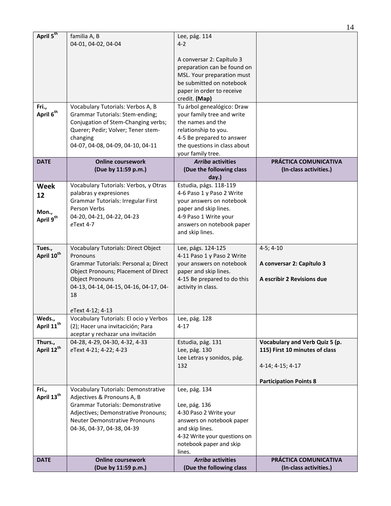| <b>DATE</b>                       | <b>Online coursework</b><br>(Due by 11:59 p.m.)                                                                                                                     | <b>Arriba activities</b><br>(Due the following class                                                                                                             | PRÁCTICA COMUNICATIVA<br>(In-class activities.)                  |
|-----------------------------------|---------------------------------------------------------------------------------------------------------------------------------------------------------------------|------------------------------------------------------------------------------------------------------------------------------------------------------------------|------------------------------------------------------------------|
|                                   |                                                                                                                                                                     | 4-32 Write your questions on<br>notebook paper and skip<br>lines.                                                                                                |                                                                  |
|                                   | <b>Grammar Tutorials: Demonstrative</b><br>Adjectives; Demonstrative Pronouns;<br><b>Neuter Demonstrative Pronouns</b><br>04-36, 04-37, 04-38, 04-39                | Lee, pág. 136<br>4-30 Paso 2 Write your<br>answers on notebook paper<br>and skip lines.                                                                          |                                                                  |
| Fri.,<br>April 13 <sup>th</sup>   | <b>Vocabulary Tutorials: Demonstrative</b><br>Adjectives & Pronouns A, B                                                                                            | Lee, pág. 134                                                                                                                                                    |                                                                  |
|                                   |                                                                                                                                                                     |                                                                                                                                                                  | <b>Participation Points 8</b>                                    |
|                                   |                                                                                                                                                                     | Lee Letras y sonidos, pág.<br>132                                                                                                                                | 4-14; 4-15; 4-17                                                 |
| Thurs.,<br>April 12 <sup>th</sup> | 04-28, 4-29, 04-30, 4-32, 4-33<br>eText 4-21; 4-22; 4-23                                                                                                            | Estudia, pág. 131<br>Lee, pág. 130                                                                                                                               | Vocabulary and Verb Quiz 5 (p.<br>115) First 10 minutes of class |
| Weds.,<br>April 11 <sup>th</sup>  | Vocabulary Tutorials: El ocio y Verbos<br>(2); Hacer una invitacición; Para<br>aceptar y rechazar una invitación                                                    | Lee, pág. 128<br>$4 - 17$                                                                                                                                        |                                                                  |
|                                   | eText 4-12; 4-13                                                                                                                                                    |                                                                                                                                                                  |                                                                  |
| April 10 <sup>th</sup>            | Pronouns<br>Grammar Tutorials: Personal a; Direct<br>Object Pronouns; Placement of Direct<br><b>Object Pronouns</b><br>04-13, 04-14, 04-15, 04-16, 04-17, 04-<br>18 | 4-11 Paso 1 y Paso 2 Write<br>your answers on notebook<br>paper and skip lines.<br>4-15 Be prepared to do this<br>activity in class.                             | A conversar 2: Capítulo 3<br>A escribir 2 Revisions due          |
| Tues.,                            | Vocabulary Tutorials: Direct Object                                                                                                                                 | Lee, págs. 124-125                                                                                                                                               | $4-5; 4-10$                                                      |
| 12<br>Mon.,<br>April 9th          | <b>Grammar Tutorials: Irregular First</b><br>Person Verbs<br>04-20, 04-21, 04-22, 04-23<br>eText 4-7                                                                | your answers on notebook<br>paper and skip lines.<br>4-9 Paso 1 Write your<br>answers on notebook paper<br>and skip lines.                                       |                                                                  |
| <b>Week</b>                       | Vocabulary Tutorials: Verbos, y Otras<br>palabras y expresiones                                                                                                     | Estudia, págs. 118-119<br>4-6 Paso 1 y Paso 2 Write                                                                                                              |                                                                  |
| <b>DATE</b>                       | <b>Online coursework</b><br>(Due by 11:59 p.m.)                                                                                                                     | <b>Arriba activities</b><br>(Due the following class<br>day.)                                                                                                    | PRÁCTICA COMUNICATIVA<br>(In-class activities.)                  |
|                                   |                                                                                                                                                                     | your family tree.                                                                                                                                                |                                                                  |
|                                   | Conjugation of Stem-Changing verbs;<br>Querer; Pedir; Volver; Tener stem-<br>changing<br>04-07, 04-08, 04-09, 04-10, 04-11                                          | the names and the<br>relationship to you.<br>4-5 Be prepared to answer<br>the questions in class about                                                           |                                                                  |
| Fri.,<br>April 6 <sup>th</sup>    | Vocabulary Tutorials: Verbos A, B<br><b>Grammar Tutorials: Stem-ending;</b>                                                                                         | Tu árbol genealógico: Draw<br>your family tree and write                                                                                                         |                                                                  |
|                                   |                                                                                                                                                                     | A conversar 2: Capítulo 3<br>preparation can be found on<br>MSL. Your preparation must<br>be submitted on notebook<br>paper in order to receive<br>credit. (Map) |                                                                  |
| April 5 <sup>th</sup>             | familia A, B<br>04-01, 04-02, 04-04                                                                                                                                 | Lee, pág. 114<br>$4 - 2$                                                                                                                                         |                                                                  |
|                                   |                                                                                                                                                                     |                                                                                                                                                                  |                                                                  |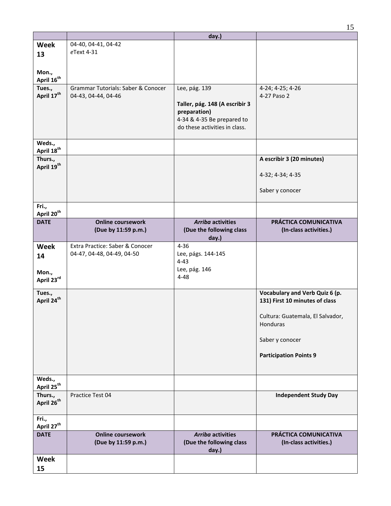|                                   |                                                               | day.)                                                                                                                          |                                                                                                                                                                      |
|-----------------------------------|---------------------------------------------------------------|--------------------------------------------------------------------------------------------------------------------------------|----------------------------------------------------------------------------------------------------------------------------------------------------------------------|
| Week<br>13                        | 04-40, 04-41, 04-42<br>eText 4-31                             |                                                                                                                                |                                                                                                                                                                      |
| Mon.,<br>April 16 <sup>th</sup>   |                                                               |                                                                                                                                |                                                                                                                                                                      |
| Tues.,<br>April 17 <sup>th</sup>  | Grammar Tutorials: Saber & Conocer<br>04-43, 04-44, 04-46     | Lee, pág. 139<br>Taller, pág. 148 (A escribir 3<br>preparation)<br>4-34 & 4-35 Be prepared to<br>do these activities in class. | 4-24; 4-25; 4-26<br>4-27 Paso 2                                                                                                                                      |
| Weds.,<br>April 18 <sup>th</sup>  |                                                               |                                                                                                                                |                                                                                                                                                                      |
| Thurs.,<br>April 19 <sup>th</sup> |                                                               |                                                                                                                                | A escribir 3 (20 minutes)<br>4-32; 4-34; 4-35<br>Saber y conocer                                                                                                     |
| Fri.,<br>April 20 <sup>th</sup>   |                                                               |                                                                                                                                |                                                                                                                                                                      |
| <b>DATE</b>                       | <b>Online coursework</b><br>(Due by 11:59 p.m.)               | <b>Arriba activities</b><br>(Due the following class<br>day.)                                                                  | PRÁCTICA COMUNICATIVA<br>(In-class activities.)                                                                                                                      |
| Week<br>14<br>Mon.,<br>April 23rd | Extra Practice: Saber & Conocer<br>04-47, 04-48, 04-49, 04-50 | $4 - 36$<br>Lee, págs. 144-145<br>$4 - 43$<br>Lee, pág. 146<br>$4 - 48$                                                        |                                                                                                                                                                      |
| Tues.,<br>April 24 <sup>th</sup>  |                                                               |                                                                                                                                | Vocabulary and Verb Quiz 6 (p.<br>131) First 10 minutes of class<br>Cultura: Guatemala, El Salvador,<br>Honduras<br>Saber y conocer<br><b>Participation Points 9</b> |
| Weds.,<br>April 25 <sup>th</sup>  |                                                               |                                                                                                                                |                                                                                                                                                                      |
| Thurs.,<br>April 26 <sup>th</sup> | Practice Test 04                                              |                                                                                                                                | <b>Independent Study Day</b>                                                                                                                                         |
| Fri.,<br>April 27 <sup>th</sup>   |                                                               |                                                                                                                                |                                                                                                                                                                      |
| <b>DATE</b>                       | <b>Online coursework</b><br>(Due by 11:59 p.m.)               | <b>Arriba activities</b><br>(Due the following class<br>day.)                                                                  | PRÁCTICA COMUNICATIVA<br>(In-class activities.)                                                                                                                      |
| Week<br>15                        |                                                               |                                                                                                                                |                                                                                                                                                                      |